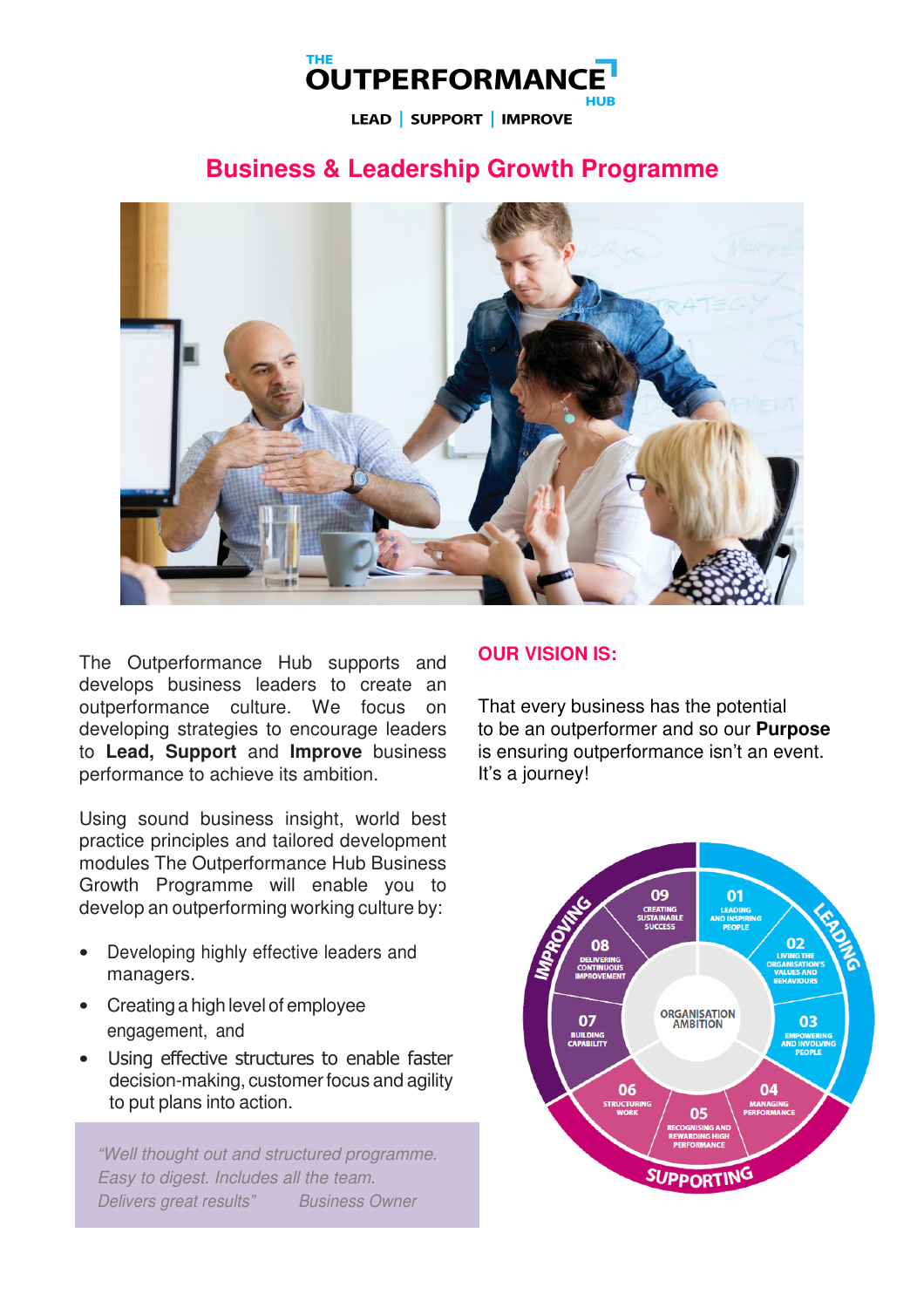# **THE OUTPERFORMANO**

LEAD | SUPPORT | IMPROVE

# **Business & Leadership Growth Programme**



The Outperformance Hub supports and develops business leaders to create an outperformance culture. We focus on developing strategies to encourage leaders to **Lead, Support** and **Improve** business performance to achieve its ambition.

Using sound business insight, world best practice principles and tailored development modules The Outperformance Hub Business Growth Programme will enable you to develop an outperforming working culture by:

- Developing highly effective leaders and managers.
- Creating a high level of employee engagement, and
- Using effective structures to enable faster decision-making, customer focus and agility to put plans into action.

"Well thought out and structured programme. Easy to digest. Includes all the team. Delivers great results" Business Owner

# **OUR VISION IS:**

That every business has the potential to be an outperformer and so our **Purpose** is ensuring outperformance isn't an event. It's a journey!

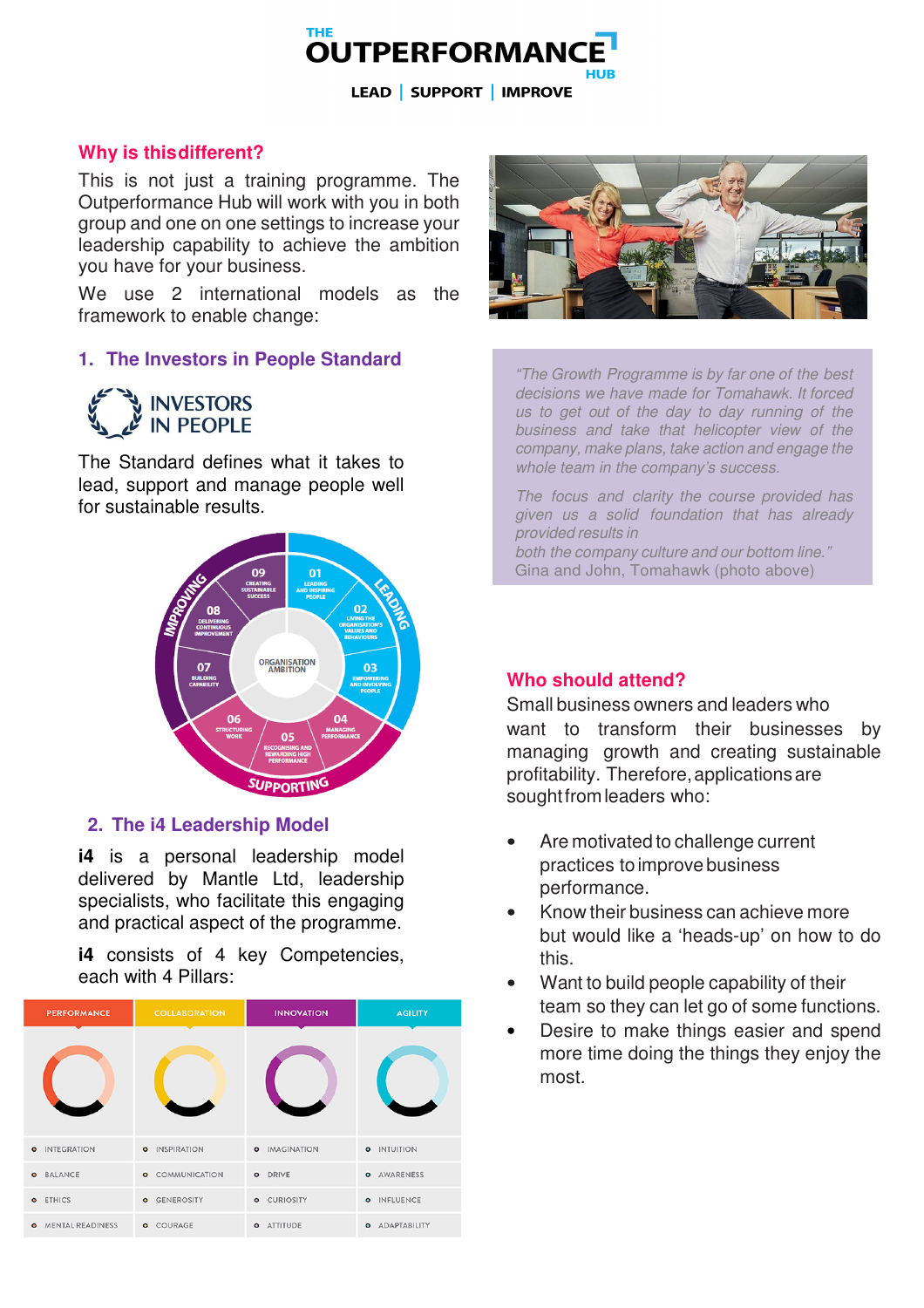

LEAD | SUPPORT | IMPROVE

#### **Why is this different?**

This is not just a training programme. The Outperformance Hub will work with you in both group and one on one settings to increase your leadership capability to achieve the ambition you have for your business.

We use 2 international models as the framework to enable change:

#### **1. The Investors in People Standard**

**INVESTORS**<br>**IN PEOPLE** 

The Standard defines what it takes to lead, support and manage people well for sustainable results.



#### c**2. The i4 Leadership Model**

**i4** is a personal leadership model delivered by Mantle Ltd, leadership specialists, who facilitate this engaging and practical aspect of the programme.

**i4** consists of 4 key Competencies, each with 4 Pillars:

|           | <b>PERFORMANCE</b>        | <b>COLLABORATION</b>   |           | <b>INNOVATION</b>    | <b>AGILITY</b>        |
|-----------|---------------------------|------------------------|-----------|----------------------|-----------------------|
|           |                           |                        |           |                      |                       |
| $\bullet$ | <b>INTEGRATION</b>        | <b>0</b> INSPIRATION   |           | <b>0</b> IMAGINATION | <b>0</b> INTUITION    |
| $\bullet$ | <b>BALANCE</b>            | <b>O</b> COMMUNICATION |           | <b>O</b> DRIVE       | <b>O</b> AWARENESS    |
|           | <b>o</b> ETHICS           | <b>O</b> GENEROSITY    |           | <b>o</b> CURIOSITY   | O INFLUENCE           |
|           | <b>O</b> MENTAL READINESS | <b>o</b> COURAGE       | $\bullet$ | <b>ATTITUDE</b>      | <b>O</b> ADAPTABILITY |



"The Growth Programme is by far one of the best decisions we have made for Tomahawk. It forced us to get out of the day to day running of the business and take that helicopter view of the company, make plans, take action and engage the whole team in the company's success.

The focus and clarity the course provided has given us a solid foundation that has already provided results in both the company culture and our bottom line." Gina and John, Tomahawk (photo above)

## **Who should attend?**

Small business owners and leaders who want to transform their businesses by managing growth and creating sustainable profitability. Therefore, applications are sought from leaders who:

- Are motivated to challenge current practices to improve business performance.
- Know their business can achieve more but would like a 'heads-up' on how to do this.
- Want to build people capability of their team so they can let go of some functions.
- Desire to make things easier and spend more time doing the things they enjoy the most.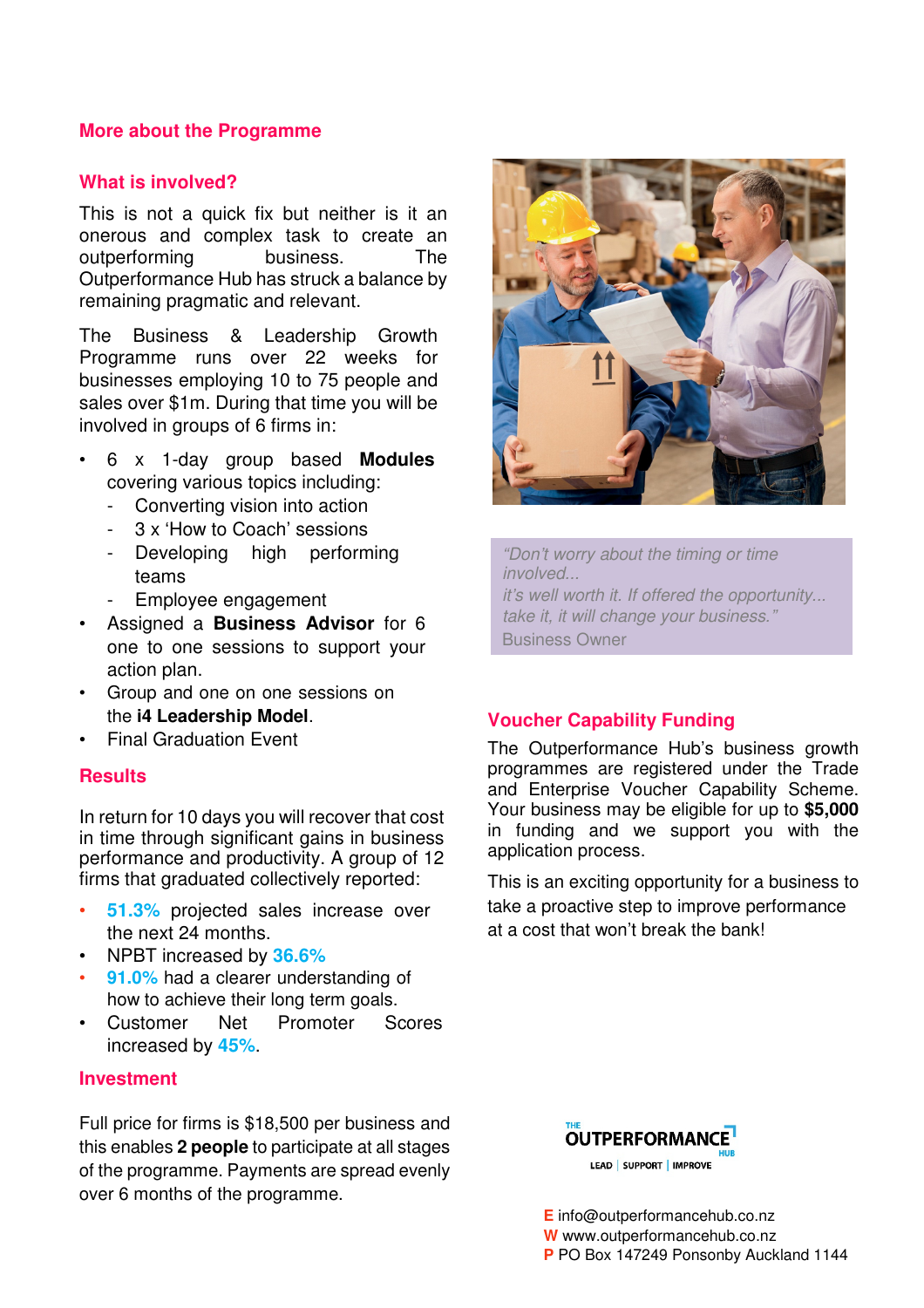## **More about the Programme**

## **What is involved?**

This is not a quick fix but neither is it an onerous and complex task to create an outperforming business. The Outperformance Hub has struck a balance by remaining pragmatic and relevant.

The Business & Leadership Growth Programme runs over 22 weeks for businesses employing 10 to 75 people and sales over \$1m. During that time you will be involved in groups of 6 firms in:

- 6 x 1-day group based **Modules** covering various topics including:
	- Converting vision into action
	- 3 x 'How to Coach' sessions
	- Developing high performing teams
	- Employee engagement
- Assigned a **Business Advisor** for 6 one to one sessions to support your action plan.
- Group and one on one sessions on the **i4 Leadership Model**.
- Final Graduation Event

#### **Results**

In return for 10 days you will recover that cost in time through significant gains in business performance and productivity. A group of 12 firms that graduated collectively reported:

- **51.3%** projected sales increase over the next 24 months.
- NPBT increased by **36.6%**
- **91.0%** had a clearer understanding of how to achieve their long term goals.
- Customer Net Promoter Scores increased by **45%**.

#### **Investment**

Full price for firms is \$18,500 per business and this enables **2 people** to participate at all stages of the programme. Payments are spread evenly over 6 months of the programme.



"Don't worry about the timing or time involved... it's well worth it. If offered the opportunity... take it, it will change your business." Business Owner

## **Voucher Capability Funding**

The Outperformance Hub's business growth programmes are registered under the Trade and Enterprise Voucher Capability Scheme. Your business may be eligible for up to **\$5,000** in funding and we support you with the application process.

This is an exciting opportunity for a business to take a proactive step to improve performance at a cost that won't break the bank!



**E** info@outperformancehub.co.nz **W** www.outperformancehub.co.nz **P** PO Box 147249 Ponsonby Auckland 1144